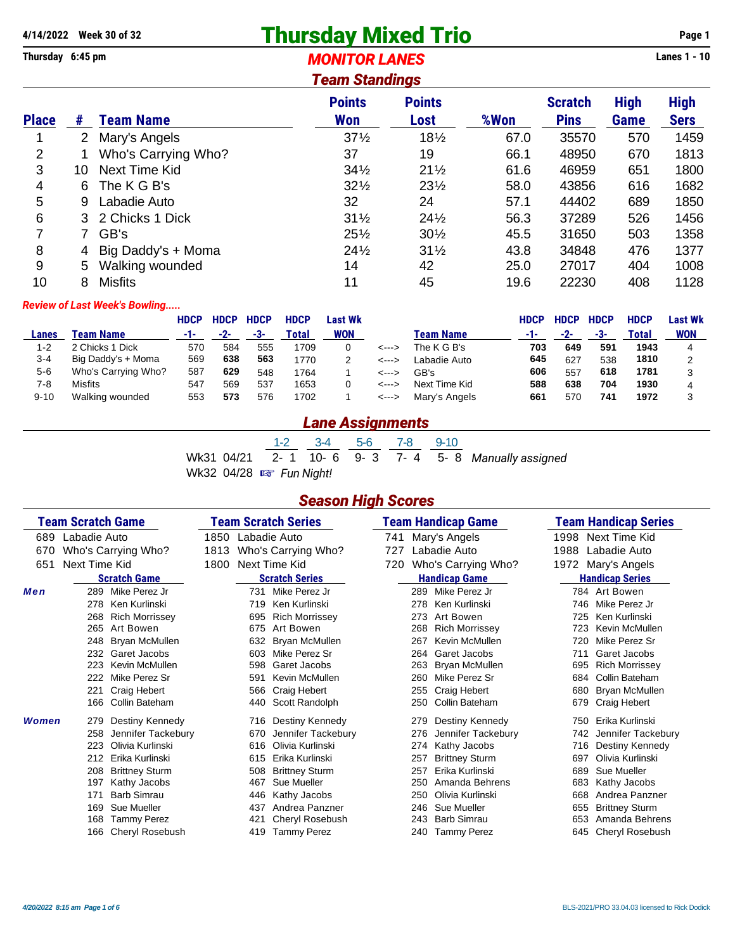# **4/14/2022 Week 30 of 32 Thursday Mixed Trio Page 1**

**Thursday 6:45 pm** *MONITOR LANES* **Lanes 1 - 10** *Team Standings*

| <i>i</i> eam Standings |              |                     |                 |                 |      |                |             |             |  |  |  |  |
|------------------------|--------------|---------------------|-----------------|-----------------|------|----------------|-------------|-------------|--|--|--|--|
|                        |              |                     | <b>Points</b>   | <b>Points</b>   |      | <b>Scratch</b> | <b>High</b> | <b>High</b> |  |  |  |  |
| <b>Place</b>           | #            | <b>Team Name</b>    | <b>Won</b>      | Lost            | %Won | <b>Pins</b>    | Game        | <b>Sers</b> |  |  |  |  |
|                        | $\mathbf{2}$ | Mary's Angels       | $37\frac{1}{2}$ | $18\frac{1}{2}$ | 67.0 | 35570          | 570         | 1459        |  |  |  |  |
| $\overline{2}$         |              | Who's Carrying Who? | 37              | 19              | 66.1 | 48950          | 670         | 1813        |  |  |  |  |
| 3                      | 10           | Next Time Kid       | $34\frac{1}{2}$ | $21\frac{1}{2}$ | 61.6 | 46959          | 651         | 1800        |  |  |  |  |
| 4                      | 6            | The K G B's         | $32\frac{1}{2}$ | $23\frac{1}{2}$ | 58.0 | 43856          | 616         | 1682        |  |  |  |  |
| 5                      | 9            | Labadie Auto        | 32              | 24              | 57.1 | 44402          | 689         | 1850        |  |  |  |  |
| 6                      |              | 3 2 Chicks 1 Dick   | $31\frac{1}{2}$ | $24\frac{1}{2}$ | 56.3 | 37289          | 526         | 1456        |  |  |  |  |
| 7                      |              | GB's                | $25\frac{1}{2}$ | $30\frac{1}{2}$ | 45.5 | 31650          | 503         | 1358        |  |  |  |  |
| 8                      | 4            | Big Daddy's + Moma  | $24\frac{1}{2}$ | $31\frac{1}{2}$ | 43.8 | 34848          | 476         | 1377        |  |  |  |  |
| 9                      | 5            | Walking wounded     | 14              | 42              | 25.0 | 27017          | 404         | 1008        |  |  |  |  |
| 10                     | 8            | <b>Misfits</b>      | 11              | 45              | 19.6 | 22230          | 408         | 1128        |  |  |  |  |

### *Review of Last Week's Bowling.....*

|          |                     | HDCP | <b>HDCP</b> | <b>HDCP</b> | <b>HDCP</b> | Last Wk    |       |                | HDCP | <b>HDCP</b> | <b>HDCP</b> | <b>HDCP</b> | Last Wk    |
|----------|---------------------|------|-------------|-------------|-------------|------------|-------|----------------|------|-------------|-------------|-------------|------------|
| Lanes    | Team Name           | -1-  | -2-         | -3-         | Total       | <b>WON</b> |       | Team Name      | -1-  | -2-         | -3-         | Total       | <b>WON</b> |
| 1-2      | 2 Chicks 1 Dick     | 570  | 584         | 555         | 1709        |            | <---> | The K G B's    | 703  | 649         | 591         | 1943        |            |
| 3-4      | Big Daddy's + Moma  | 569  | 638         | 563         | 1770        |            | <---> | I abadie Auto. | 645  | 627         | 538         | 1810        |            |
| $5 - 6$  | Who's Carrying Who? | 587  | 629         | 548         | 1764        |            | <---> | GB's           | 606  | 557         | 618         | 1781        |            |
| 7-8      | <b>Misfits</b>      | 547  | 569         | 537         | 1653        |            | <---> | Next Time Kid  | 588  | 638         | 704         | 1930        |            |
| $9 - 10$ | Walking wounded     | 553  | 573         | 576         | 1702        |            | <---> | Mary's Angels  | 661  | 570         | 741         | 1972        |            |

## *Lane Assignments*

1-2 3-4 5-6 7-8 9-10 Wk31 04/21 2-1 10-6 9-3 7-4 5-8 Manually assigned Wk32 04/28  $\approx$  Fun Night!

## *Season High Scores*

|       | <b>Team Scratch Game</b> |                        | <b>Team Scratch Series</b> |     | Team Handicap Game    |     |     | <b>Team Handicap Series</b> |      |                        |
|-------|--------------------------|------------------------|----------------------------|-----|-----------------------|-----|-----|-----------------------------|------|------------------------|
| 689   | Labadie Auto             |                        | 1850                       |     | Labadie Auto          | 741 |     | Mary's Angels               | 1998 | Next Time Kid          |
| 670   |                          | Who's Carrying Who?    | 1813                       |     | Who's Carrying Who?   | 727 |     | Labadie Auto                | 1988 | Labadie Auto           |
| 651   | Next Time Kid            |                        | 1800                       |     | Next Time Kid         | 720 |     | Who's Carrying Who?         | 1972 | Mary's Angels          |
|       |                          | <b>Scratch Game</b>    |                            |     | <b>Scratch Series</b> |     |     | <b>Handicap Game</b>        |      | <b>Handicap Series</b> |
| Men   | 289                      | Mike Perez Jr          |                            | 731 | Mike Perez Jr         |     | 289 | Mike Perez Jr               |      | 784 Art Bowen          |
|       | 278                      | Ken Kurlinski          |                            | 719 | Ken Kurlinski         |     | 278 | Ken Kurlinski               | 746  | Mike Perez Jr          |
|       | 268                      | <b>Rich Morrissey</b>  |                            | 695 | <b>Rich Morrissey</b> |     | 273 | Art Bowen                   | 725  | Ken Kurlinski          |
|       | 265                      | Art Bowen              |                            | 675 | Art Bowen             |     | 268 | <b>Rich Morrissey</b>       | 723  | Kevin McMullen         |
|       | 248                      | Bryan McMullen         |                            | 632 | Bryan McMullen        |     | 267 | Kevin McMullen              | 720  | Mike Perez Sr          |
|       | 232                      | Garet Jacobs           |                            | 603 | Mike Perez Sr         |     | 264 | Garet Jacobs                | 711  | Garet Jacobs           |
|       | 223                      | Kevin McMullen         |                            | 598 | Garet Jacobs          |     | 263 | Bryan McMullen              | 695  | <b>Rich Morrissey</b>  |
|       | 222                      | Mike Perez Sr          |                            | 591 | <b>Kevin McMullen</b> |     | 260 | Mike Perez Sr               | 684  | Collin Bateham         |
|       | 221                      | Craig Hebert           |                            | 566 | <b>Craig Hebert</b>   |     | 255 | Craig Hebert                | 680  | Bryan McMullen         |
|       | 166                      | Collin Bateham         |                            | 440 | Scott Randolph        |     | 250 | Collin Bateham              | 679  | Craig Hebert           |
| Women | 279                      | Destiny Kennedy        |                            |     | 716 Destiny Kennedy   |     | 279 | Destiny Kennedy             | 750  | Erika Kurlinski        |
|       | 258                      | Jennifer Tackebury     |                            | 670 | Jennifer Tackebury    |     | 276 | Jennifer Tackebury          | 742  | Jennifer Tackebury     |
|       | 223                      | Olivia Kurlinski       |                            | 616 | Olivia Kurlinski      |     | 274 | Kathy Jacobs                | 716  | Destiny Kennedy        |
|       | 212                      | Erika Kurlinski        |                            | 615 | Erika Kurlinski       |     | 257 | <b>Brittney Sturm</b>       | 697  | Olivia Kurlinski       |
|       | 208                      | <b>Brittney Sturm</b>  |                            | 508 | <b>Brittney Sturm</b> |     | 257 | Erika Kurlinski             | 689  | Sue Mueller            |
|       | 197                      | Kathy Jacobs           |                            | 467 | Sue Mueller           |     | 250 | Amanda Behrens              | 683  | Kathy Jacobs           |
|       | 171                      | <b>Barb Simrau</b>     |                            | 446 | Kathy Jacobs          |     | 250 | Olivia Kurlinski            | 668  | Andrea Panzner         |
|       | 169                      | Sue Mueller            |                            | 437 | Andrea Panzner        |     | 246 | Sue Mueller                 | 655  | <b>Brittney Sturm</b>  |
|       | 168                      | <b>Tammy Perez</b>     |                            | 421 | Cheryl Rosebush       |     | 243 | <b>Barb Simrau</b>          | 653  | Amanda Behrens         |
|       | 166                      | <b>Cheryl Rosebush</b> |                            | 419 | <b>Tammy Perez</b>    |     | 240 | <b>Tammy Perez</b>          | 645  | Cheryl Rosebush        |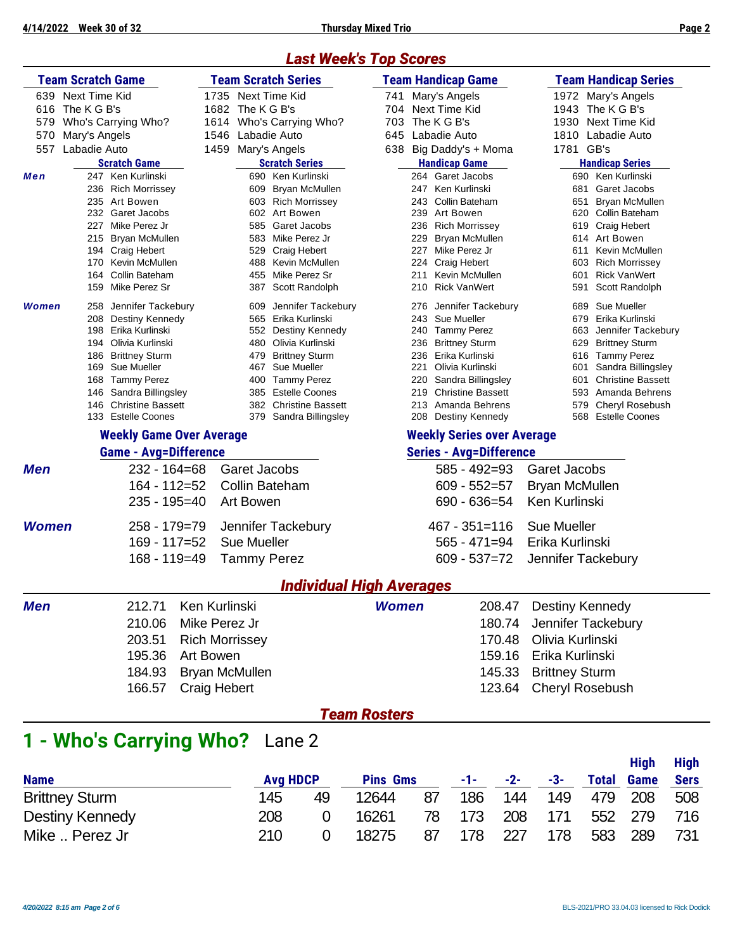## *Last Week's Top Scores*

|              | <b>Team Scratch Game</b>               |                     | <b>Team Scratch Series</b>                 | <b>Team Handicap Game</b>                 | <b>Team Handicap Series</b>                     |  |  |  |
|--------------|----------------------------------------|---------------------|--------------------------------------------|-------------------------------------------|-------------------------------------------------|--|--|--|
|              | 639 Next Time Kid                      |                     | 1735 Next Time Kid                         | Mary's Angels<br>741                      | 1972 Mary's Angels                              |  |  |  |
| 616          | The K G B's                            |                     | 1682 The KG B's                            | Next Time Kid<br>704                      | 1943<br>The K G B's                             |  |  |  |
| 579          | Who's Carrying Who?                    | 1614                | Who's Carrying Who?                        | 703<br>The K G B's                        | 1930<br>Next Time Kid                           |  |  |  |
| 570          | Mary's Angels                          |                     | 1546 Labadie Auto                          | 645<br>Labadie Auto                       | 1810<br>Labadie Auto                            |  |  |  |
| 557          | Labadie Auto                           |                     | 1459 Mary's Angels                         | Big Daddy's + Moma<br>638                 | 1781<br>GB's                                    |  |  |  |
|              | <b>Scratch Game</b>                    |                     | <b>Scratch Series</b>                      | <b>Handicap Game</b>                      | <b>Handicap Series</b>                          |  |  |  |
| Men          | 247 Ken Kurlinski                      |                     | 690 Ken Kurlinski                          | 264 Garet Jacobs                          | 690 Ken Kurlinski                               |  |  |  |
|              | 236 Rich Morrissey                     |                     | 609 Bryan McMullen                         | 247 Ken Kurlinski                         | Garet Jacobs<br>681                             |  |  |  |
|              | 235 Art Bowen                          |                     | 603 Rich Morrissey                         | 243 Collin Bateham                        | 651<br>Bryan McMullen                           |  |  |  |
|              | 232 Garet Jacobs                       |                     | 602 Art Bowen                              | 239 Art Bowen                             | 620 Collin Bateham                              |  |  |  |
|              | 227 Mike Perez Jr                      |                     | 585 Garet Jacobs                           | 236 Rich Morrissey                        | 619 Craig Hebert                                |  |  |  |
|              | 215 Bryan McMullen<br>194 Craig Hebert |                     | 583 Mike Perez Jr<br>529 Craig Hebert      | 229 Bryan McMullen<br>227 Mike Perez Jr   | 614 Art Bowen<br>Kevin McMullen<br>611          |  |  |  |
|              | 170 Kevin McMullen                     |                     | 488 Kevin McMullen                         | 224 Craig Hebert                          | 603 Rich Morrissey                              |  |  |  |
|              | 164 Collin Bateham                     |                     | 455 Mike Perez Sr                          | Kevin McMullen<br>211                     | <b>Rick VanWert</b><br>601                      |  |  |  |
|              | 159 Mike Perez Sr                      |                     | 387 Scott Randolph                         | 210 Rick VanWert                          | 591<br>Scott Randolph                           |  |  |  |
| Women        | 258 Jennifer Tackebury                 |                     | 609 Jennifer Tackebury                     | 276 Jennifer Tackebury                    | 689 Sue Mueller                                 |  |  |  |
|              | 208 Destiny Kennedy                    |                     | 565 Erika Kurlinski                        | 243 Sue Mueller                           | Erika Kurlinski<br>679                          |  |  |  |
|              | 198 Erika Kurlinski                    |                     | 552 Destiny Kennedy                        | 240 Tammy Perez                           | 663<br>Jennifer Tackebury                       |  |  |  |
|              | 194 Olivia Kurlinski                   |                     | 480 Olivia Kurlinski<br>479 Brittney Sturm | 236 Brittney Sturm<br>236 Erika Kurlinski | 629<br><b>Brittney Sturm</b><br>616 Tammy Perez |  |  |  |
|              | 186 Brittney Sturm<br>169 Sue Mueller  |                     | 467 Sue Mueller                            | 221 Olivia Kurlinski                      | Sandra Billingsley<br>601                       |  |  |  |
|              | 168 Tammy Perez                        |                     | 400 Tammy Perez                            | 220 Sandra Billingsley                    | <b>Christine Bassett</b><br>601                 |  |  |  |
|              | 146 Sandra Billingsley                 |                     | 385 Estelle Coones                         | 219 Christine Bassett                     | 593 Amanda Behrens                              |  |  |  |
|              | 146 Christine Bassett                  |                     | 382 Christine Bassett                      | 213 Amanda Behrens                        | 579<br>Cheryl Rosebush                          |  |  |  |
|              | 133 Estelle Coones                     |                     | 379 Sandra Billingsley                     | 208 Destiny Kennedy                       | 568 Estelle Coones                              |  |  |  |
|              | <b>Weekly Game Over Average</b>        |                     |                                            | <b>Weekly Series over Average</b>         |                                                 |  |  |  |
|              | <b>Game - Avg=Difference</b>           |                     |                                            | <b>Series - Avg=Difference</b>            |                                                 |  |  |  |
| <b>Men</b>   | $232 - 164 = 68$                       |                     | <b>Garet Jacobs</b>                        | $585 - 492 = 93$                          | <b>Garet Jacobs</b>                             |  |  |  |
|              | 164 - 112=52                           |                     | <b>Collin Bateham</b>                      | $609 - 552 = 57$                          | <b>Bryan McMullen</b>                           |  |  |  |
|              | 235 - 195=40                           |                     | Art Bowen                                  | $690 - 636 = 54$                          | <b>Ken Kurlinski</b>                            |  |  |  |
| <b>Women</b> | 258 - 179=79                           |                     | Jennifer Tackebury                         | $467 - 351 = 116$                         | <b>Sue Mueller</b>                              |  |  |  |
|              | $169 - 117 = 52$                       |                     | <b>Sue Mueller</b>                         | $565 - 471 = 94$                          | Erika Kurlinski                                 |  |  |  |
|              | 168 - 119=49                           |                     | <b>Tammy Perez</b>                         | $609 - 537 = 72$                          | Jennifer Tackebury                              |  |  |  |
|              |                                        |                     |                                            |                                           |                                                 |  |  |  |
|              |                                        |                     | <b>Individual High Averages</b>            |                                           |                                                 |  |  |  |
| <b>Men</b>   | 212.71                                 | Ken Kurlinski       |                                            | <b>Women</b><br>208.47                    | Destiny Kennedy                                 |  |  |  |
|              | 210.06                                 | Mike Perez Jr       |                                            | 180.74                                    | Jennifer Tackebury                              |  |  |  |
|              | 203.51                                 |                     | <b>Rich Morrissey</b>                      | 170.48                                    | Olivia Kurlinski                                |  |  |  |
|              | 195.36                                 | Art Bowen           |                                            | 159.16                                    | Erika Kurlinski                                 |  |  |  |
|              | 184.93                                 |                     | <b>Bryan McMullen</b>                      | 145.33                                    | <b>Brittney Sturm</b>                           |  |  |  |
|              | 166.57                                 | <b>Craig Hebert</b> |                                            | 123.64                                    | <b>Cheryl Rosebush</b>                          |  |  |  |
|              |                                        |                     |                                            |                                           |                                                 |  |  |  |
|              |                                        |                     | <b>Team Rosters</b>                        |                                           |                                                 |  |  |  |

# **1 - Who's Carrying Who?** Lane 2

|                       |                 |    |                 |    |     |       |     |              | <b>High</b> | <b>High</b> |
|-----------------------|-----------------|----|-----------------|----|-----|-------|-----|--------------|-------------|-------------|
| <b>Name</b>           | <b>Avg HDCP</b> |    | <b>Pins Gms</b> |    | -1- | $-2-$ | -3- | <b>Total</b> | <b>Game</b> | <b>Sers</b> |
| <b>Brittney Sturm</b> | 145             | 49 | 12644           | 87 | 186 | 144   | 149 |              | 479 208     | 508         |
| Destiny Kennedy       | 208             |    | 16261           | 78 | 173 | 208   | 171 |              | 552 279     | 716         |
| Mike  Perez Jr        | 210             |    | 18275           | 87 | 178 | - 227 | 178 | 583          | 289         | 731         |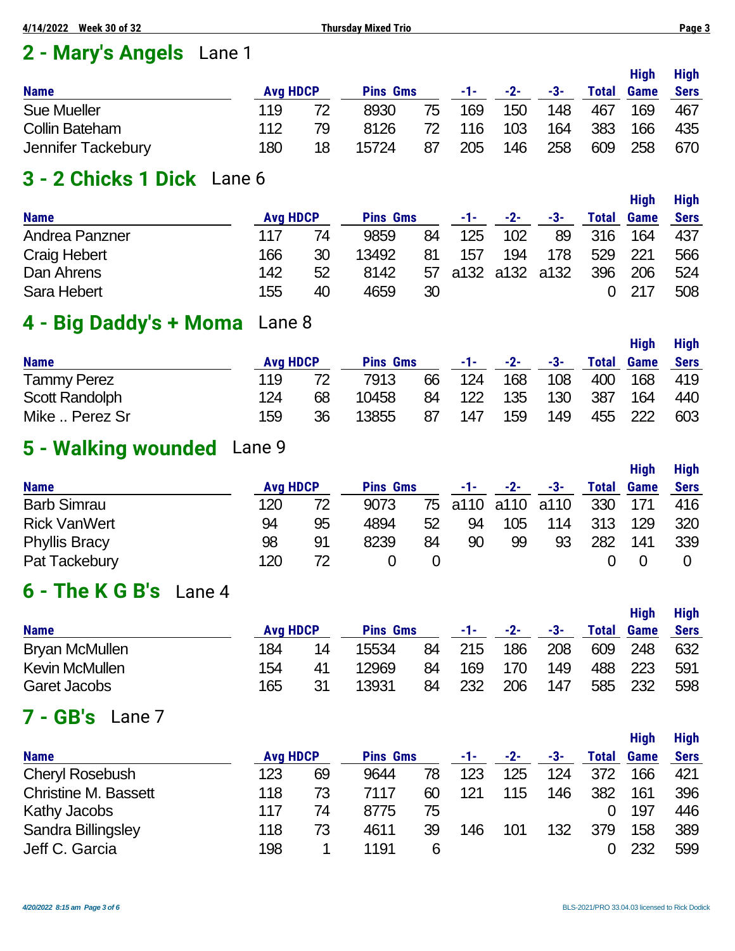# **2 - Mary's Angels** Lane 1

|                       |                 |    |                 |     |       |       |     |              | <b>High</b> | <b>High</b> |
|-----------------------|-----------------|----|-----------------|-----|-------|-------|-----|--------------|-------------|-------------|
| <b>Name</b>           | <b>Avg HDCP</b> |    | <b>Pins Gms</b> |     | $-1-$ | $-2-$ | -3- | <b>Total</b> | <b>Game</b> | <b>Sers</b> |
| <b>Sue Mueller</b>    | 119             |    | 8930            | 75  | 169   | 150   | 148 | 467          | 169         | 467         |
| <b>Collin Bateham</b> | 112             | 79 | 8126            | 72. | 116   | 103   | 164 | 383          | 166         | 435         |
| Jennifer Tackebury    | 180             | 18 | 15724           | 87  | 205   | 146   | 258 | 609          | 258         | 670         |

# **3 - 2 Chicks 1 Dick** Lane 6

|                     |     |                 |                 |    |     |                |     |       | Hiah        | <b>High</b> |
|---------------------|-----|-----------------|-----------------|----|-----|----------------|-----|-------|-------------|-------------|
| <b>Name</b>         |     | <b>Avg HDCP</b> | <b>Pins Gms</b> |    | -1- | $-2-$          | -3- | Total | <b>Game</b> | <b>Sers</b> |
| Andrea Panzner      | 117 | 74              | 9859            | 84 | 125 | 102            | 89  | 316   | 164         | 437         |
| <b>Craig Hebert</b> | 166 | 30              | 13492           | 81 | 157 | 194            | 178 | 529   | 221         | 566         |
| Dan Ahrens          | 142 | 52              | 8142            | 57 |     | a132 a132 a132 |     | 396   | 206         | 524         |
| Sara Hebert         | 155 | 40              | 4659            | 30 |     |                |     |       | 217         | 508         |

# **4 - Big Daddy's + Moma** Lane 8

|                       |                 |    |                 |    |       |       |     |              | <b>High</b> | <b>High</b> |
|-----------------------|-----------------|----|-----------------|----|-------|-------|-----|--------------|-------------|-------------|
| <b>Name</b>           | <b>Avg HDCP</b> |    | <b>Pins Gms</b> |    | -1- - | $-2-$ | -3- | <b>Total</b> | <b>Game</b> | <b>Sers</b> |
| <b>Tammy Perez</b>    | 119             |    | 7913            | 66 | 124   | 168   | 108 | 400          | 168         | 419         |
| <b>Scott Randolph</b> | 124             | 68 | 10458           | 84 | 122   | 135   | 130 | 387          | 164         | 440         |
| Mike  Perez Sr        | 159             | 36 | 13855           | 87 | 147   | 159   | 149 |              | 455 222     | 603         |

# **5 - Walking wounded** Lane 9

|                      |                 |    |                 |    |     |                   |     |              | Hiah        | <b>High</b> |
|----------------------|-----------------|----|-----------------|----|-----|-------------------|-----|--------------|-------------|-------------|
| <b>Name</b>          | <b>Avg HDCP</b> |    | <b>Pins Gms</b> |    | -1- | -2-               | -3- | <b>Total</b> | <b>Game</b> | <b>Sers</b> |
| <b>Barb Simrau</b>   | 120             |    | 9073            |    |     | 75 a110 a110 a110 |     | 330          | 171         | 416         |
| <b>Rick VanWert</b>  | 94              | 95 | 4894            | 52 | 94  | 105               | 114 | 313          | 129         | 320         |
| <b>Phyllis Bracy</b> | 98              | 91 | 8239            | 84 | 90  | 99                | 93  | 282          | 141         | 339         |
| Pat Tackebury        | 120             | 72 |                 |    |     |                   |     |              |             |             |

# **6 - The K G B's** Lane 4

| <b>Name</b>           | <b>Avg HDCP</b> |     | <b>Pins Gms</b> |    | -1- | $-2-$ | -3- | <b>Total</b> | <b>High</b><br><b>Game</b> | <b>High</b><br><b>Sers</b> |
|-----------------------|-----------------|-----|-----------------|----|-----|-------|-----|--------------|----------------------------|----------------------------|
| <b>Bryan McMullen</b> | 184             | 14  | 15534           | 84 | 215 | 186   | 208 | 609          | 248                        | 632                        |
| Kevin McMullen        | 154             | -41 | 12969           | 84 | 169 | 170   | 149 | 488          | 223                        | 591                        |
| Garet Jacobs          | 165             | 31  | 13931           | 84 | 232 | 206   | 147 |              | 585 232                    | 598                        |

# **7 - GB's** Lane 7

|                             |                 |    |                 |    |      |       |     |              |             | u.          |
|-----------------------------|-----------------|----|-----------------|----|------|-------|-----|--------------|-------------|-------------|
| <b>Name</b>                 | <b>Avg HDCP</b> |    | <b>Pins Gms</b> |    | -1-1 | $-2-$ | -3- | <b>Total</b> | <b>Game</b> | <b>Sers</b> |
| <b>Cheryl Rosebush</b>      | 123             | 69 | 9644            | 78 | 123  | 125   | 124 | 372          | 166         | 421         |
| <b>Christine M. Bassett</b> | 118             | 73 | 7117            | 60 | 121  | 115   | 146 | 382          | 161         | 396         |
| Kathy Jacobs                | 117             | 74 | 8775            | 75 |      |       |     |              | 197         | 446         |
| Sandra Billingsley          | 118             | 73 | 4611            | 39 | 146  | 101   | 132 | 379          | 158         | 389         |
| Jeff C. Garcia              | 198             |    | 1191            | 6  |      |       |     |              | 232         | 599         |
|                             |                 |    |                 |    |      |       |     |              |             |             |

**High High**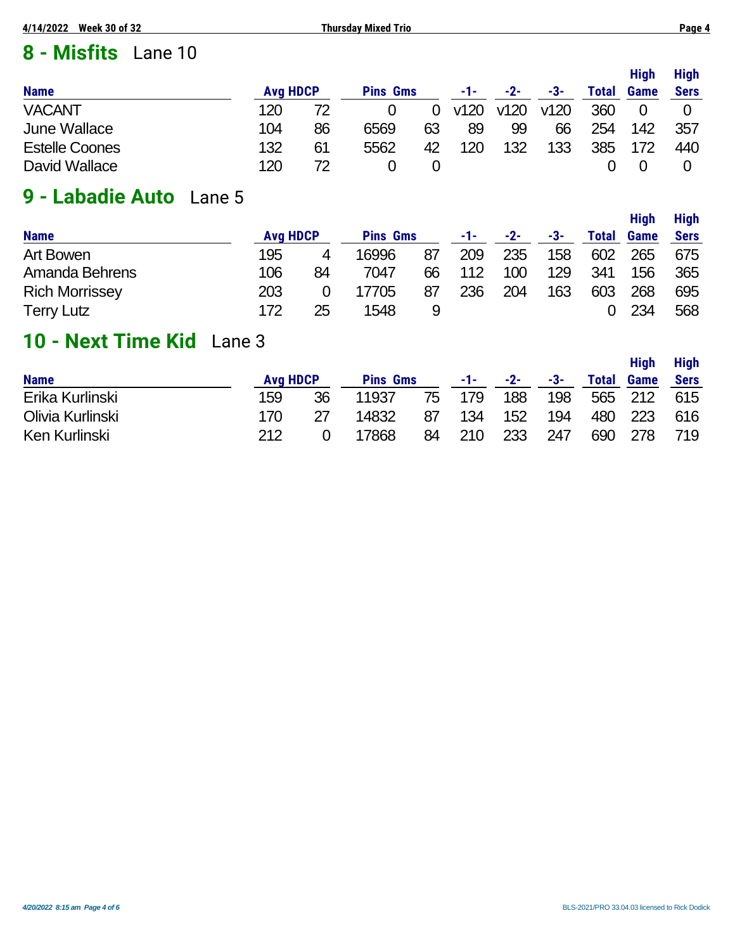# **8 - Misfits** Lane 10

|                       |                 |    |                 |    |      |       |      |              | <b>High</b> | <b>High</b> |
|-----------------------|-----------------|----|-----------------|----|------|-------|------|--------------|-------------|-------------|
| <b>Name</b>           | <b>Avg HDCP</b> |    | <b>Pins Gms</b> |    | -1-  | $-2-$ | -3-  | <b>Total</b> | Game        | <b>Sers</b> |
| <b>VACANT</b>         | 120             | 72 |                 |    | v120 | v120  | v120 | 360          |             |             |
| June Wallace          | 104             | 86 | 6569            | 63 | 89   | 99    | 66   | 254          | 142         | 357         |
| <b>Estelle Coones</b> | 132             | 61 | 5562            | 42 | 120  | 132   | 133  | 385          | 172         | 440         |
| David Wallace         | 120             |    |                 |    |      |       |      |              |             |             |

# **9 - Labadie Auto** Lane 5

| <b>Name</b>           | <b>Avg HDCP</b> |    | <b>Pins Gms</b> |    | <b>Conference</b> | $-2-$ | -3- | <b>Total</b> | <b>Game</b> | <b>Sers</b> |
|-----------------------|-----------------|----|-----------------|----|-------------------|-------|-----|--------------|-------------|-------------|
| Art Bowen             | 195             | 4  | 16996           | 87 | 209               | 235   | 158 | 602          | 265         | 675         |
| Amanda Behrens        | 106             | 84 | 7047            | 66 | 112               | 100   | 129 | 341          | 156         | 365         |
| <b>Rich Morrissey</b> | 203             |    | 17705           | 87 | 236               | 204   | 163 | 603          | 268         | 695         |
| <b>Terry Lutz</b>     | 172             | 25 | 1548            |    |                   |       |     |              | 234         | 568         |

# **10 - Next Time Kid** Lane 3

|                  |                 |    |                 |    |       |       |     |              | <b>High</b> | <b>High</b> |
|------------------|-----------------|----|-----------------|----|-------|-------|-----|--------------|-------------|-------------|
| <b>Name</b>      | <b>Avg HDCP</b> |    | <b>Pins Gms</b> |    | $-1-$ | $-2-$ | -3- | <b>Total</b> | <b>Game</b> | <b>Sers</b> |
| Erika Kurlinski  | 159             | 36 | 11937           | 75 | 179   | 188   | 198 |              | 565 212     | 615         |
| Olivia Kurlinski | 170             |    | 14832           | 87 | 134   | 152   | 194 | 480          | 223         | 616         |
| Ken Kurlinski    | 212             |    | 17868           | 84 | 210   | 233   | 247 | 690          | 278         | 719         |

**High High**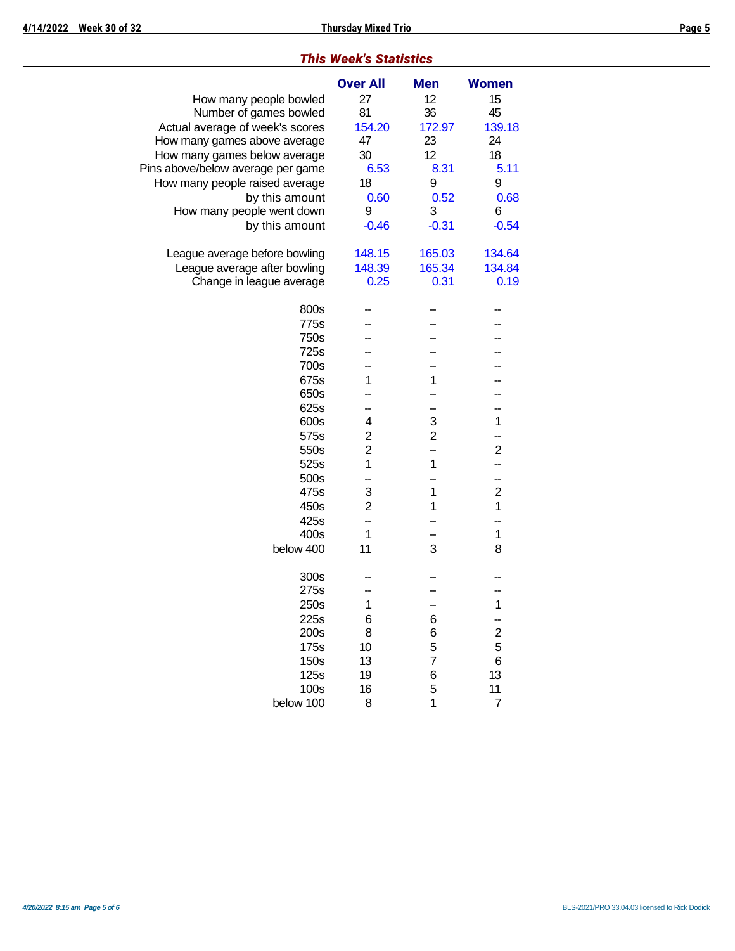| <b>I his week's Statistics</b>    |                 |                |                         |  |  |  |  |  |  |  |
|-----------------------------------|-----------------|----------------|-------------------------|--|--|--|--|--|--|--|
|                                   | <b>Over All</b> | <b>Men</b>     | <b>Women</b>            |  |  |  |  |  |  |  |
| How many people bowled            | 27              | 12             | 15                      |  |  |  |  |  |  |  |
| Number of games bowled            | 81              | 36             | 45                      |  |  |  |  |  |  |  |
| Actual average of week's scores   | 154.20          | 172.97         | 139.18                  |  |  |  |  |  |  |  |
| How many games above average      | 47              | 23             | 24                      |  |  |  |  |  |  |  |
| How many games below average      | 30              | 12             | 18                      |  |  |  |  |  |  |  |
| Pins above/below average per game | 6.53            | 8.31           | 5.11                    |  |  |  |  |  |  |  |
| How many people raised average    | 18              | 9              | 9                       |  |  |  |  |  |  |  |
| by this amount                    | 0.60            | 0.52           | 0.68                    |  |  |  |  |  |  |  |
| How many people went down         | 9               | 3              | 6                       |  |  |  |  |  |  |  |
| by this amount                    | $-0.46$         | $-0.31$        | $-0.54$                 |  |  |  |  |  |  |  |
|                                   |                 |                |                         |  |  |  |  |  |  |  |
| League average before bowling     | 148.15          | 165.03         | 134.64                  |  |  |  |  |  |  |  |
| League average after bowling      | 148.39          | 165.34         | 134.84                  |  |  |  |  |  |  |  |
| Change in league average          | 0.25            | 0.31           | 0.19                    |  |  |  |  |  |  |  |
|                                   |                 |                |                         |  |  |  |  |  |  |  |
| 800s                              |                 |                |                         |  |  |  |  |  |  |  |
| 775s                              |                 |                |                         |  |  |  |  |  |  |  |
| 750s                              |                 |                |                         |  |  |  |  |  |  |  |
| 725s                              |                 |                |                         |  |  |  |  |  |  |  |
| 700s                              |                 |                |                         |  |  |  |  |  |  |  |
| 675s                              | 1               | 1              |                         |  |  |  |  |  |  |  |
| 650s                              |                 |                |                         |  |  |  |  |  |  |  |
| 625s                              |                 |                |                         |  |  |  |  |  |  |  |
| 600s                              | 4               | 3              | 1                       |  |  |  |  |  |  |  |
| 575s                              | $\overline{c}$  | $\overline{2}$ |                         |  |  |  |  |  |  |  |
| 550s                              | $\overline{c}$  |                | $\overline{c}$          |  |  |  |  |  |  |  |
| 525s                              | 1               | 1              |                         |  |  |  |  |  |  |  |
| 500s                              |                 |                | ÷                       |  |  |  |  |  |  |  |
| 475s                              | 3               | 1              | $\overline{c}$          |  |  |  |  |  |  |  |
| 450s                              | $\overline{2}$  | 1              | $\overline{1}$          |  |  |  |  |  |  |  |
| 425s                              |                 |                |                         |  |  |  |  |  |  |  |
| 400s                              | 1               |                | $\mathbf{1}$            |  |  |  |  |  |  |  |
| below 400                         | 11              | 3              | 8                       |  |  |  |  |  |  |  |
|                                   |                 |                |                         |  |  |  |  |  |  |  |
| 300s                              |                 |                |                         |  |  |  |  |  |  |  |
| 275s                              |                 |                |                         |  |  |  |  |  |  |  |
| 250s                              | 1               |                | 1                       |  |  |  |  |  |  |  |
| 225s                              | 6               | 6              |                         |  |  |  |  |  |  |  |
| 200s                              | 8               | 6              | $\overline{\mathbf{c}}$ |  |  |  |  |  |  |  |
| 175s                              | 10              | 5              | 5                       |  |  |  |  |  |  |  |
| 150s                              | 13              | $\overline{7}$ | 6                       |  |  |  |  |  |  |  |
| 125s                              | 19              | 6              | 13                      |  |  |  |  |  |  |  |
| 100s                              | 16              | 5              | 11                      |  |  |  |  |  |  |  |
| below 100                         | 8               | 1              | $\overline{7}$          |  |  |  |  |  |  |  |
|                                   |                 |                |                         |  |  |  |  |  |  |  |
|                                   |                 |                |                         |  |  |  |  |  |  |  |

## *This Week's Statistics*